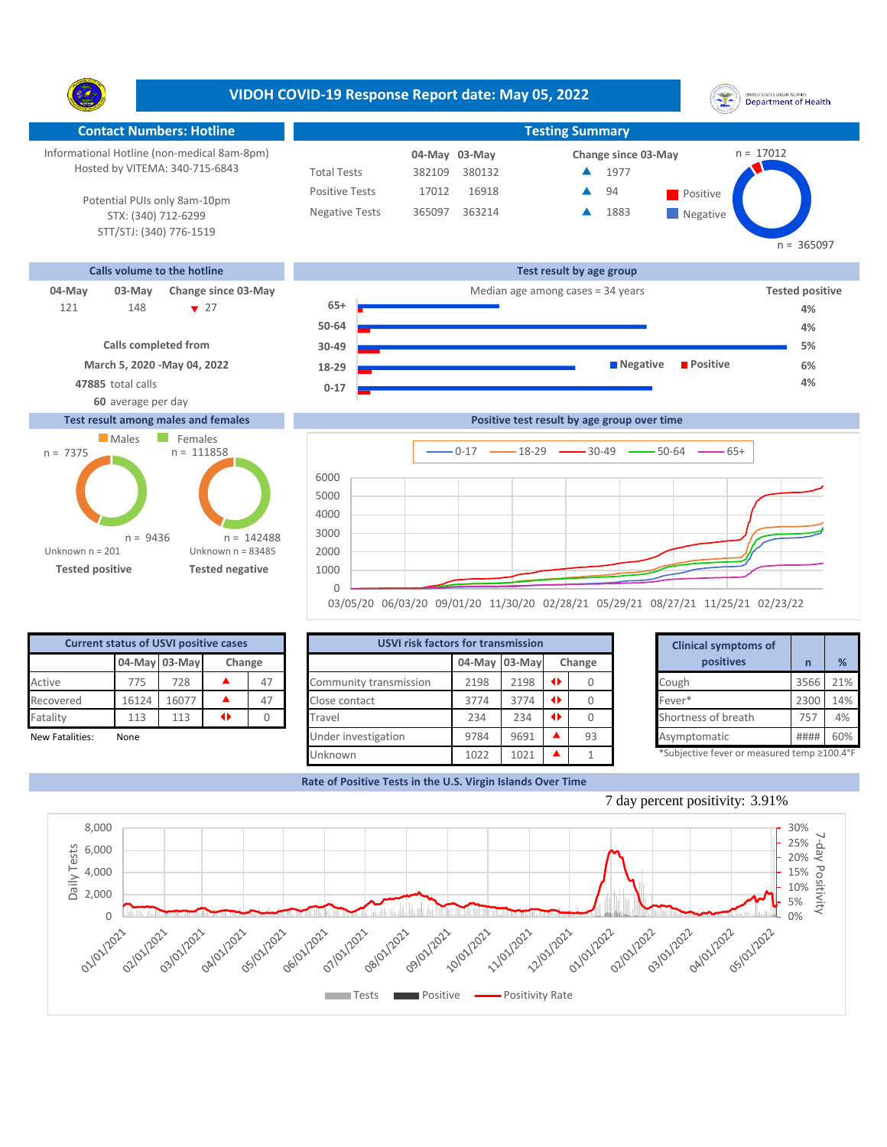**VIDOH COVID-19 Response Report date: May 05, 2022** UNITED STATES VIRGIN SLANDS<br>Department of Health Y. **Contact Numbers: Hotline Testing Summary** Informational Hotline (non-medical 8am-8pm)  $n = 17012$ **03-May 04-May Change since 03-May** Hosted by VITEMA: 340-715-6843 Total Tests 382109 380132 1977 ▲ 16918 **494** Positive Positive Tests 17012  $\blacktriangle$ 94 Potential PUIs only 8am-10pm Negative Tests 365097 363214 1883 ▲ **Negative** STX: (340) 712-6299 STT/STJ: (340) 776-1519  $n = 365097$ **Calls volume to the hotline Test result by age group 04-May 03-May Change since 03-May Change since 03-May Change and Change among cases = 34 years <b>Tested positive Tested positive** 148 **v** 27 **65+** 121 148 ▼ 27 **65+ Product to the Contract of A**% 4% **50-64 4% Calls completed from 30-49 5% March 5, 2020 -May 04, 2022 Negative Positive 6% 18-29 47885** total calls **4% 0-17 60** average per day **Test result among males and females Positive test result by age group over time**





| <b>Current status of USVI positive cases</b> |       |               |    |        |                        | <b>USVI risk factors for transmission</b> |      |  |           |  |                                            |      |     |
|----------------------------------------------|-------|---------------|----|--------|------------------------|-------------------------------------------|------|--|-----------|--|--------------------------------------------|------|-----|
|                                              |       | 04-May 03-May |    | Change |                        | 04-May 03-May<br>Change                   |      |  | positives |  | %                                          |      |     |
| Active                                       | 775   | 728           |    | 47     | Community transmission | 2198                                      | 2198 |  |           |  | Cough                                      | 3566 | 21% |
| Recovered                                    | 16124 | 16077         |    | 47     | Close contact          | 3774                                      | 3774 |  |           |  | Fever*                                     | 2300 | 14% |
| Fatality                                     | 113   | 113           | 41 |        | Travel                 | 234                                       | 234  |  |           |  | Shortness of breath                        | 757  | 4%  |
| New Fatalities:                              | None  |               |    |        | Under investigation    | 9784                                      | 9691 |  | 93        |  | Asymptomatic                               | #### | 60% |
|                                              |       |               |    |        | Unknown                | 1022                                      | 1021 |  |           |  | *Subjective fever or measured temp ≥100.4° |      |     |

|      | for transmission |   |        | <b>Clinical symptoms of</b>                 |                |     |
|------|------------------|---|--------|---------------------------------------------|----------------|-----|
|      | 04-May 03-May    |   | Change | positives                                   | $\overline{n}$ | %   |
| 2198 | 2198             | O |        | Cough                                       | 3566           | 21% |
| 3774 | 3774             | O | 0      | Fever*                                      | 2300           | 14% |
| 234  | 234              | O |        | Shortness of breath                         | 757            | 4%  |
| 9784 | 9691             |   | 93     | Asymptomatic                                | ####           | 60% |
| 1022 | 1021             |   |        | *Subjective fever or measured temp ≥100.4°F |                |     |

**Rate of Positive Tests in the U.S. Virgin Islands Over Time**